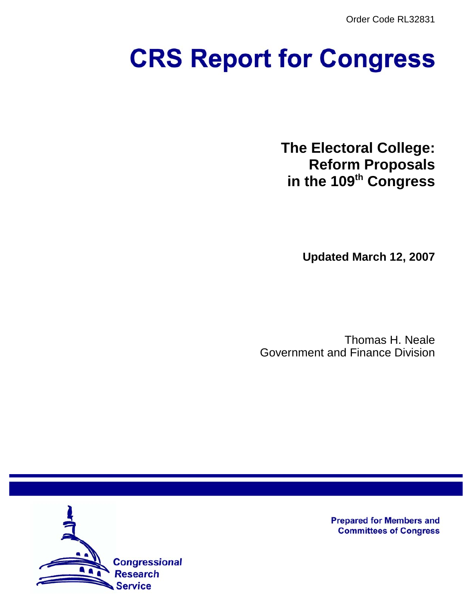Order Code RL32831

# **CRS Report for Congress**

**The Electoral College: Reform Proposals in the 109th Congress**

**Updated March 12, 2007**

Thomas H. Neale Government and Finance Division



**Prepared for Members and Committees of Congress**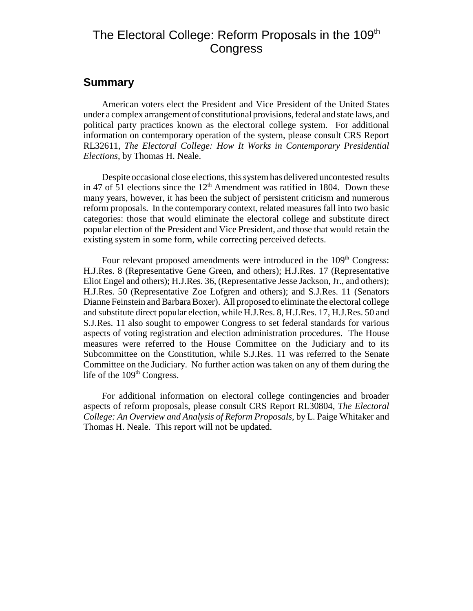# The Electoral College: Reform Proposals in the 109<sup>th</sup> **Congress**

## **Summary**

American voters elect the President and Vice President of the United States under a complex arrangement of constitutional provisions, federal and state laws, and political party practices known as the electoral college system. For additional information on contemporary operation of the system, please consult CRS Report RL32611, *The Electoral College: How It Works in Contemporary Presidential Elections*, by Thomas H. Neale.

Despite occasional close elections, this system has delivered uncontested results in 47 of  $\overline{51}$  elections since the  $12<sup>th</sup>$  Amendment was ratified in 1804. Down these many years, however, it has been the subject of persistent criticism and numerous reform proposals. In the contemporary context, related measures fall into two basic categories: those that would eliminate the electoral college and substitute direct popular election of the President and Vice President, and those that would retain the existing system in some form, while correcting perceived defects.

Four relevant proposed amendments were introduced in the 109<sup>th</sup> Congress: H.J.Res. 8 (Representative Gene Green, and others); H.J.Res. 17 (Representative Eliot Engel and others); H.J.Res. 36, (Representative Jesse Jackson, Jr., and others); H.J.Res. 50 (Representative Zoe Lofgren and others); and S.J.Res. 11 (Senators Dianne Feinstein and Barbara Boxer). All proposed to eliminate the electoral college and substitute direct popular election, while H.J.Res. 8, H.J.Res. 17, H.J.Res. 50 and S.J.Res. 11 also sought to empower Congress to set federal standards for various aspects of voting registration and election administration procedures. The House measures were referred to the House Committee on the Judiciary and to its Subcommittee on the Constitution, while S.J.Res. 11 was referred to the Senate Committee on the Judiciary. No further action was taken on any of them during the life of the  $109<sup>th</sup> Congress.$ 

For additional information on electoral college contingencies and broader aspects of reform proposals, please consult CRS Report RL30804, *The Electoral College: An Overview and Analysis of Reform Proposals*, by L. Paige Whitaker and Thomas H. Neale. This report will not be updated.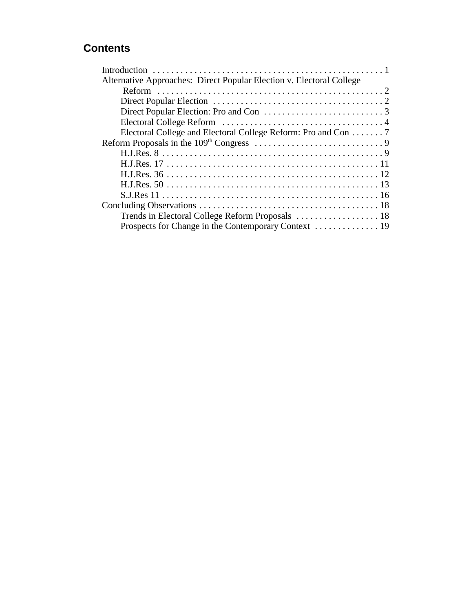# **Contents**

| Alternative Approaches: Direct Popular Election v. Electoral College |
|----------------------------------------------------------------------|
|                                                                      |
|                                                                      |
|                                                                      |
|                                                                      |
| Electoral College and Electoral College Reform: Pro and Con 7        |
|                                                                      |
|                                                                      |
|                                                                      |
|                                                                      |
|                                                                      |
|                                                                      |
|                                                                      |
|                                                                      |
|                                                                      |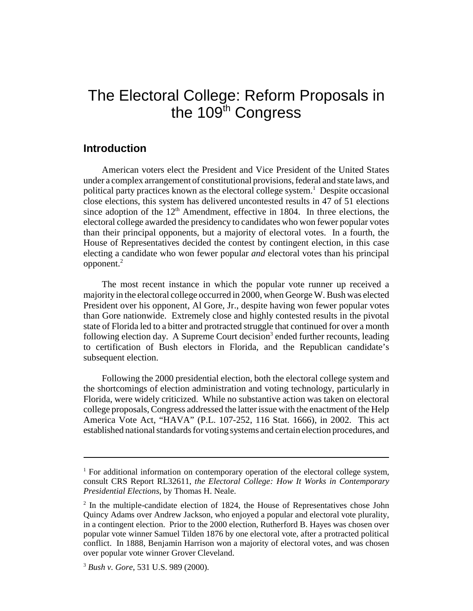# The Electoral College: Reform Proposals in the 109<sup>th</sup> Congress

#### **Introduction**

American voters elect the President and Vice President of the United States under a complex arrangement of constitutional provisions, federal and state laws, and political party practices known as the electoral college system.<sup>1</sup> Despite occasional close elections, this system has delivered uncontested results in 47 of 51 elections since adoption of the  $12<sup>th</sup>$  Amendment, effective in 1804. In three elections, the electoral college awarded the presidency to candidates who won fewer popular votes than their principal opponents, but a majority of electoral votes. In a fourth, the House of Representatives decided the contest by contingent election, in this case electing a candidate who won fewer popular *and* electoral votes than his principal opponent.2

The most recent instance in which the popular vote runner up received a majority in the electoral college occurred in 2000, when George W. Bush was elected President over his opponent, Al Gore, Jr., despite having won fewer popular votes than Gore nationwide. Extremely close and highly contested results in the pivotal state of Florida led to a bitter and protracted struggle that continued for over a month following election day. A Supreme Court decision<sup>3</sup> ended further recounts, leading to certification of Bush electors in Florida, and the Republican candidate's subsequent election.

Following the 2000 presidential election, both the electoral college system and the shortcomings of election administration and voting technology, particularly in Florida, were widely criticized. While no substantive action was taken on electoral college proposals, Congress addressed the latter issue with the enactment of the Help America Vote Act, "HAVA" (P.L. 107-252, 116 Stat. 1666), in 2002. This act established national standards for voting systems and certain election procedures, and

<sup>&</sup>lt;sup>1</sup> For additional information on contemporary operation of the electoral college system, consult CRS Report RL32611, *the Electoral College: How It Works in Contemporary Presidential Elections*, by Thomas H. Neale.

 $2$  In the multiple-candidate election of 1824, the House of Representatives chose John Quincy Adams over Andrew Jackson, who enjoyed a popular and electoral vote plurality, in a contingent election. Prior to the 2000 election, Rutherford B. Hayes was chosen over popular vote winner Samuel Tilden 1876 by one electoral vote, after a protracted political conflict. In 1888, Benjamin Harrison won a majority of electoral votes, and was chosen over popular vote winner Grover Cleveland.

<sup>3</sup> *Bush v. Gore*, 531 U.S. 989 (2000).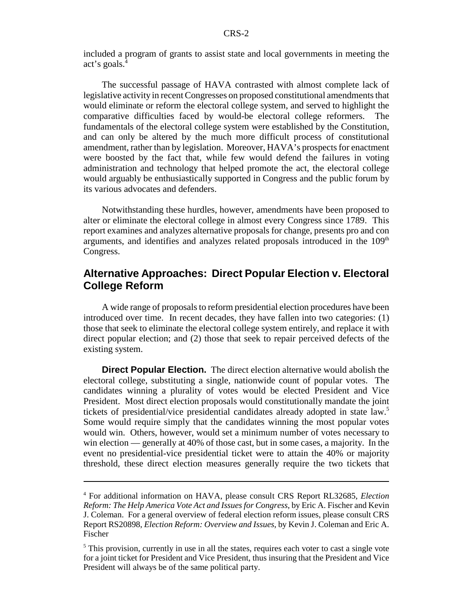included a program of grants to assist state and local governments in meeting the act's goals.4

The successful passage of HAVA contrasted with almost complete lack of legislative activity in recent Congresses on proposed constitutional amendments that would eliminate or reform the electoral college system, and served to highlight the comparative difficulties faced by would-be electoral college reformers. The fundamentals of the electoral college system were established by the Constitution, and can only be altered by the much more difficult process of constitutional amendment, rather than by legislation. Moreover, HAVA's prospects for enactment were boosted by the fact that, while few would defend the failures in voting administration and technology that helped promote the act, the electoral college would arguably be enthusiastically supported in Congress and the public forum by its various advocates and defenders.

Notwithstanding these hurdles, however, amendments have been proposed to alter or eliminate the electoral college in almost every Congress since 1789. This report examines and analyzes alternative proposals for change, presents pro and con arguments, and identifies and analyzes related proposals introduced in the  $109<sup>th</sup>$ Congress.

## **Alternative Approaches: Direct Popular Election v. Electoral College Reform**

A wide range of proposals to reform presidential election procedures have been introduced over time. In recent decades, they have fallen into two categories: (1) those that seek to eliminate the electoral college system entirely, and replace it with direct popular election; and (2) those that seek to repair perceived defects of the existing system.

**Direct Popular Election.** The direct election alternative would abolish the electoral college, substituting a single, nationwide count of popular votes. The candidates winning a plurality of votes would be elected President and Vice President. Most direct election proposals would constitutionally mandate the joint tickets of presidential/vice presidential candidates already adopted in state law.<sup>5</sup> Some would require simply that the candidates winning the most popular votes would win. Others, however, would set a minimum number of votes necessary to win election — generally at 40% of those cast, but in some cases, a majority. In the event no presidential-vice presidential ticket were to attain the 40% or majority threshold, these direct election measures generally require the two tickets that

<sup>4</sup> For additional information on HAVA, please consult CRS Report RL32685, *Election Reform: The Help America Vote Act and Issues for Congress*, by Eric A. Fischer and Kevin J. Coleman. For a general overview of federal election reform issues, please consult CRS Report RS20898, *Election Reform: Overview and Issues*, by Kevin J. Coleman and Eric A. Fischer

<sup>&</sup>lt;sup>5</sup> This provision, currently in use in all the states, requires each voter to cast a single vote for a joint ticket for President and Vice President, thus insuring that the President and Vice President will always be of the same political party.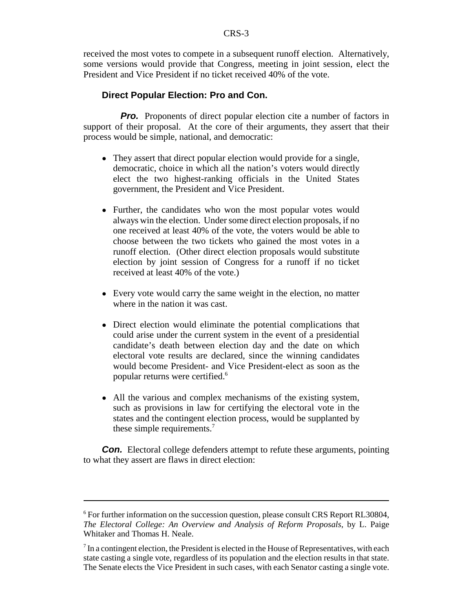received the most votes to compete in a subsequent runoff election. Alternatively, some versions would provide that Congress, meeting in joint session, elect the President and Vice President if no ticket received 40% of the vote.

#### **Direct Popular Election: Pro and Con.**

**Pro.** Proponents of direct popular election cite a number of factors in support of their proposal. At the core of their arguments, they assert that their process would be simple, national, and democratic:

- They assert that direct popular election would provide for a single, democratic, choice in which all the nation's voters would directly elect the two highest-ranking officials in the United States government, the President and Vice President.
- Further, the candidates who won the most popular votes would always win the election. Under some direct election proposals, if no one received at least 40% of the vote, the voters would be able to choose between the two tickets who gained the most votes in a runoff election. (Other direct election proposals would substitute election by joint session of Congress for a runoff if no ticket received at least 40% of the vote.)
- Every vote would carry the same weight in the election, no matter where in the nation it was cast.
- Direct election would eliminate the potential complications that could arise under the current system in the event of a presidential candidate's death between election day and the date on which electoral vote results are declared, since the winning candidates would become President- and Vice President-elect as soon as the popular returns were certified.6
- All the various and complex mechanisms of the existing system, such as provisions in law for certifying the electoral vote in the states and the contingent election process, would be supplanted by these simple requirements.<sup>7</sup>

**Con.** Electoral college defenders attempt to refute these arguments, pointing to what they assert are flaws in direct election:

<sup>&</sup>lt;sup>6</sup> For further information on the succession question, please consult CRS Report RL30804, *The Electoral College: An Overview and Analysis of Reform Proposals*, by L. Paige Whitaker and Thomas H. Neale.

 $<sup>7</sup>$  In a contingent election, the President is elected in the House of Representatives, with each</sup> state casting a single vote, regardless of its population and the election results in that state. The Senate elects the Vice President in such cases, with each Senator casting a single vote.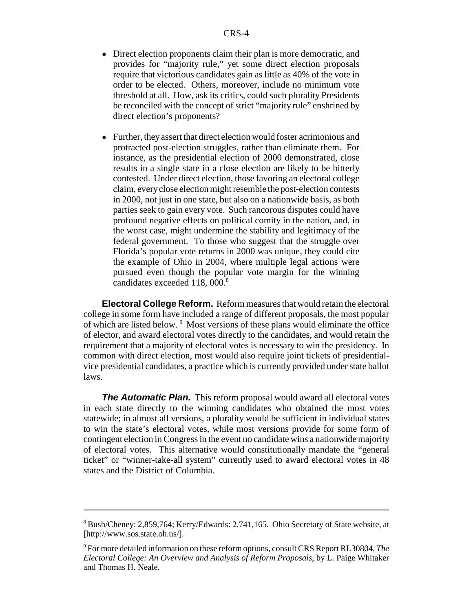- ! Direct election proponents claim their plan is more democratic, and provides for "majority rule," yet some direct election proposals require that victorious candidates gain as little as 40% of the vote in order to be elected. Others, moreover, include no minimum vote threshold at all. How, ask its critics, could such plurality Presidents be reconciled with the concept of strict "majority rule" enshrined by direct election's proponents?
- Further, they assert that direct election would foster acrimonious and protracted post-election struggles, rather than eliminate them. For instance, as the presidential election of 2000 demonstrated, close results in a single state in a close election are likely to be bitterly contested. Under direct election, those favoring an electoral college claim, every close election might resemble the post-election contests in 2000, not just in one state, but also on a nationwide basis, as both parties seek to gain every vote. Such rancorous disputes could have profound negative effects on political comity in the nation, and, in the worst case, might undermine the stability and legitimacy of the federal government. To those who suggest that the struggle over Florida's popular vote returns in 2000 was unique, they could cite the example of Ohio in 2004, where multiple legal actions were pursued even though the popular vote margin for the winning candidates exceeded 118, 000.<sup>8</sup>

**Electoral College Reform.** Reform measures that would retain the electoral college in some form have included a range of different proposals, the most popular of which are listed below.<sup>9</sup> Most versions of these plans would eliminate the office of elector, and award electoral votes directly to the candidates, and would retain the requirement that a majority of electoral votes is necessary to win the presidency. In common with direct election, most would also require joint tickets of presidentialvice presidential candidates, a practice which is currently provided under state ballot laws.

**The Automatic Plan.** This reform proposal would award all electoral votes in each state directly to the winning candidates who obtained the most votes statewide; in almost all versions, a plurality would be sufficient in individual states to win the state's electoral votes, while most versions provide for some form of contingent election in Congress in the event no candidate wins a nationwide majority of electoral votes. This alternative would constitutionally mandate the "general ticket" or "winner-take-all system" currently used to award electoral votes in 48 states and the District of Columbia.

<sup>8</sup> Bush/Cheney: 2,859,764; Kerry/Edwards: 2,741,165. Ohio Secretary of State website, at [http://www.sos.state.oh.us/].

<sup>9</sup> For more detailed information on these reform options, consult CRS Report RL30804, *The Electoral College: An Overview and Analysis of Reform Proposals,* by L. Paige Whitaker and Thomas H. Neale.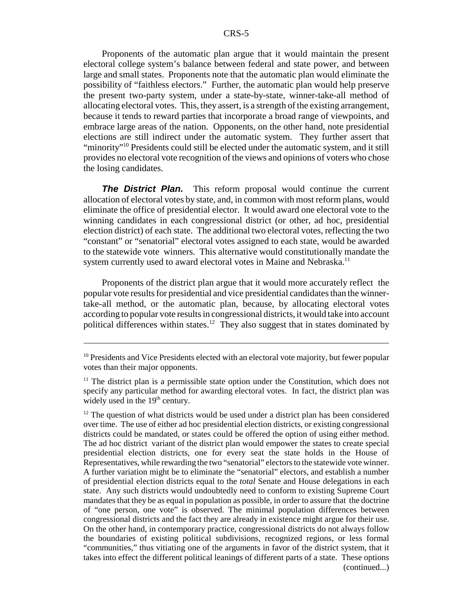Proponents of the automatic plan argue that it would maintain the present electoral college system's balance between federal and state power, and between large and small states. Proponents note that the automatic plan would eliminate the possibility of "faithless electors." Further, the automatic plan would help preserve the present two-party system, under a state-by-state, winner-take-all method of allocating electoral votes. This, they assert, is a strength of the existing arrangement, because it tends to reward parties that incorporate a broad range of viewpoints, and embrace large areas of the nation. Opponents, on the other hand, note presidential elections are still indirect under the automatic system. They further assert that "minority"<sup>10</sup> Presidents could still be elected under the automatic system, and it still provides no electoral vote recognition of the views and opinions of voters who chose the losing candidates.

**The District Plan.** This reform proposal would continue the current allocation of electoral votes by state, and, in common with most reform plans, would eliminate the office of presidential elector. It would award one electoral vote to the winning candidates in each congressional district (or other, ad hoc, presidential election district) of each state. The additional two electoral votes, reflecting the two "constant" or "senatorial" electoral votes assigned to each state, would be awarded to the statewide vote winners. This alternative would constitutionally mandate the system currently used to award electoral votes in Maine and Nebraska.<sup>11</sup>

Proponents of the district plan argue that it would more accurately reflect the popular vote results for presidential and vice presidential candidates than the winnertake-all method, or the automatic plan, because, by allocating electoral votes according to popular vote results in congressional districts, it would take into account political differences within states.12 They also suggest that in states dominated by

 $10$  Presidents and Vice Presidents elected with an electoral vote majority, but fewer popular votes than their major opponents.

 $11$  The district plan is a permissible state option under the Constitution, which does not specify any particular method for awarding electoral votes. In fact, the district plan was widely used in the  $19<sup>th</sup>$  century.

 $12$  The question of what districts would be used under a district plan has been considered over time. The use of either ad hoc presidential election districts, or existing congressional districts could be mandated, or states could be offered the option of using either method. The ad hoc district variant of the district plan would empower the states to create special presidential election districts, one for every seat the state holds in the House of Representatives, while rewarding the two "senatorial" electors to the statewide vote winner. A further variation might be to eliminate the "senatorial" electors, and establish a number of presidential election districts equal to the *total* Senate and House delegations in each state. Any such districts would undoubtedly need to conform to existing Supreme Court mandates that they be as equal in population as possible, in order to assure that the doctrine of "one person, one vote" is observed. The minimal population differences between congressional districts and the fact they are already in existence might argue for their use. On the other hand, in contemporary practice, congressional districts do not always follow the boundaries of existing political subdivisions, recognized regions, or less formal "communities," thus vitiating one of the arguments in favor of the district system, that it takes into effect the different political leanings of different parts of a state. These options (continued...)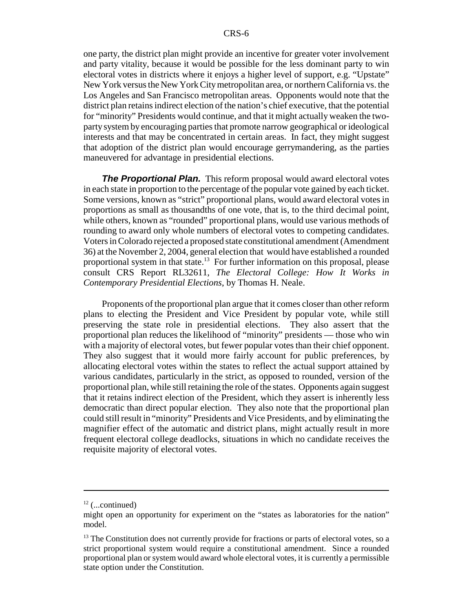one party, the district plan might provide an incentive for greater voter involvement and party vitality, because it would be possible for the less dominant party to win electoral votes in districts where it enjoys a higher level of support, e.g. "Upstate" New York versus the New York City metropolitan area, or northern California vs. the Los Angeles and San Francisco metropolitan areas. Opponents would note that the district plan retains indirect election of the nation's chief executive, that the potential for "minority" Presidents would continue, and that it might actually weaken the twoparty system by encouraging parties that promote narrow geographical or ideological interests and that may be concentrated in certain areas. In fact, they might suggest that adoption of the district plan would encourage gerrymandering, as the parties maneuvered for advantage in presidential elections.

**The Proportional Plan.** This reform proposal would award electoral votes in each state in proportion to the percentage of the popular vote gained by each ticket. Some versions, known as "strict" proportional plans, would award electoral votes in proportions as small as thousandths of one vote, that is, to the third decimal point, while others, known as "rounded" proportional plans, would use various methods of rounding to award only whole numbers of electoral votes to competing candidates. Voters in Colorado rejected a proposed state constitutional amendment (Amendment 36) at the November 2, 2004, general election that would have established a rounded proportional system in that state.<sup>13</sup> For further information on this proposal, please consult CRS Report RL32611, *The Electoral College: How It Works in Contemporary Presidential Elections*, by Thomas H. Neale.

Proponents of the proportional plan argue that it comes closer than other reform plans to electing the President and Vice President by popular vote, while still preserving the state role in presidential elections. They also assert that the proportional plan reduces the likelihood of "minority" presidents — those who win with a majority of electoral votes, but fewer popular votes than their chief opponent. They also suggest that it would more fairly account for public preferences, by allocating electoral votes within the states to reflect the actual support attained by various candidates, particularly in the strict, as opposed to rounded, version of the proportional plan, while still retaining the role of the states. Opponents again suggest that it retains indirect election of the President, which they assert is inherently less democratic than direct popular election. They also note that the proportional plan could still result in "minority" Presidents and Vice Presidents, and by eliminating the magnifier effect of the automatic and district plans, might actually result in more frequent electoral college deadlocks, situations in which no candidate receives the requisite majority of electoral votes.

 $12$  (...continued)

might open an opportunity for experiment on the "states as laboratories for the nation" model.

<sup>&</sup>lt;sup>13</sup> The Constitution does not currently provide for fractions or parts of electoral votes, so a strict proportional system would require a constitutional amendment. Since a rounded proportional plan or system would award whole electoral votes, it is currently a permissible state option under the Constitution.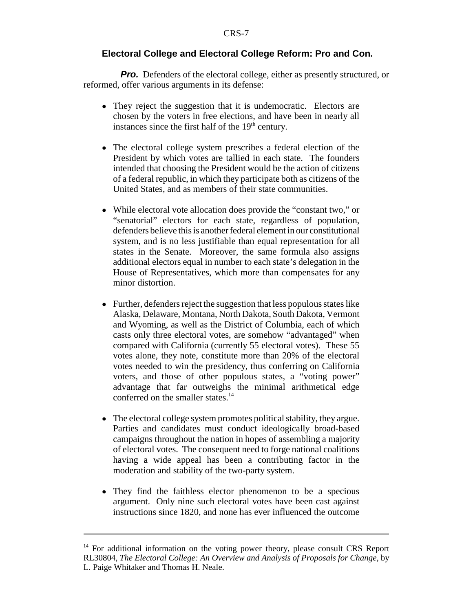#### **Electoral College and Electoral College Reform: Pro and Con.**

*Pro.* Defenders of the electoral college, either as presently structured, or reformed, offer various arguments in its defense:

- ! They reject the suggestion that it is undemocratic. Electors are chosen by the voters in free elections, and have been in nearly all instances since the first half of the  $19<sup>th</sup>$  century.
- The electoral college system prescribes a federal election of the President by which votes are tallied in each state. The founders intended that choosing the President would be the action of citizens of a federal republic, in which they participate both as citizens of the United States, and as members of their state communities.
- While electoral vote allocation does provide the "constant two," or "senatorial" electors for each state, regardless of population, defenders believe this is another federal element in our constitutional system, and is no less justifiable than equal representation for all states in the Senate. Moreover, the same formula also assigns additional electors equal in number to each state's delegation in the House of Representatives, which more than compensates for any minor distortion.
- Further, defenders reject the suggestion that less populous states like Alaska, Delaware, Montana, North Dakota, South Dakota, Vermont and Wyoming, as well as the District of Columbia, each of which casts only three electoral votes, are somehow "advantaged" when compared with California (currently 55 electoral votes). These 55 votes alone, they note, constitute more than 20% of the electoral votes needed to win the presidency, thus conferring on California voters, and those of other populous states, a "voting power" advantage that far outweighs the minimal arithmetical edge conferred on the smaller states. $14$
- ! The electoral college system promotes political stability, they argue. Parties and candidates must conduct ideologically broad-based campaigns throughout the nation in hopes of assembling a majority of electoral votes. The consequent need to forge national coalitions having a wide appeal has been a contributing factor in the moderation and stability of the two-party system.
- They find the faithless elector phenomenon to be a specious argument. Only nine such electoral votes have been cast against instructions since 1820, and none has ever influenced the outcome

<sup>&</sup>lt;sup>14</sup> For additional information on the voting power theory, please consult CRS Report RL30804, *The Electoral College: An Overview and Analysis of Proposals for Change*, by L. Paige Whitaker and Thomas H. Neale.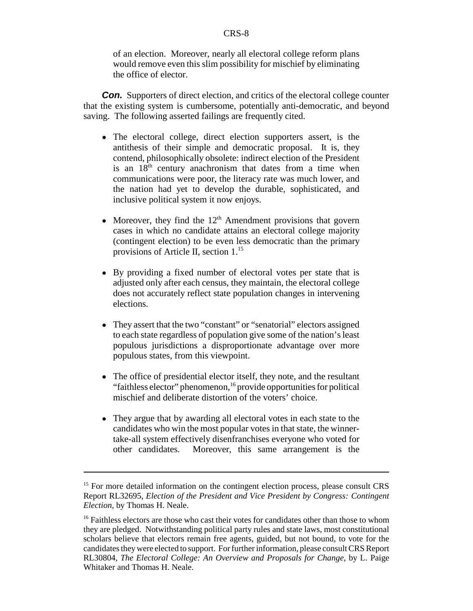of an election. Moreover, nearly all electoral college reform plans would remove even this slim possibility for mischief by eliminating the office of elector.

**Con.** Supporters of direct election, and critics of the electoral college counter that the existing system is cumbersome, potentially anti-democratic, and beyond saving. The following asserted failings are frequently cited.

- The electoral college, direct election supporters assert, is the antithesis of their simple and democratic proposal. It is, they contend, philosophically obsolete: indirect election of the President is an  $18<sup>th</sup>$  century anachronism that dates from a time when communications were poor, the literacy rate was much lower, and the nation had yet to develop the durable, sophisticated, and inclusive political system it now enjoys.
- Moreover, they find the  $12<sup>th</sup>$  Amendment provisions that govern cases in which no candidate attains an electoral college majority (contingent election) to be even less democratic than the primary provisions of Article II, section 1.<sup>15</sup>
- ! By providing a fixed number of electoral votes per state that is adjusted only after each census, they maintain, the electoral college does not accurately reflect state population changes in intervening elections.
- They assert that the two "constant" or "senatorial" electors assigned to each state regardless of population give some of the nation's least populous jurisdictions a disproportionate advantage over more populous states, from this viewpoint.
- The office of presidential elector itself, they note, and the resultant "faithless elector" phenomenon,<sup>16</sup> provide opportunities for political mischief and deliberate distortion of the voters' choice.
- They argue that by awarding all electoral votes in each state to the candidates who win the most popular votes in that state, the winnertake-all system effectively disenfranchises everyone who voted for other candidates. Moreover, this same arrangement is the

<sup>&</sup>lt;sup>15</sup> For more detailed information on the contingent election process, please consult CRS Report RL32695, *Election of the President and Vice President by Congress: Contingent Election*, by Thomas H. Neale.

<sup>&</sup>lt;sup>16</sup> Faithless electors are those who cast their votes for candidates other than those to whom they are pledged. Notwithstanding political party rules and state laws, most constitutional scholars believe that electors remain free agents, guided, but not bound, to vote for the candidates they were elected to support. For further information, please consult CRS Report RL30804, *The Electoral College: An Overview and Proposals for Change*, by L. Paige Whitaker and Thomas H. Neale.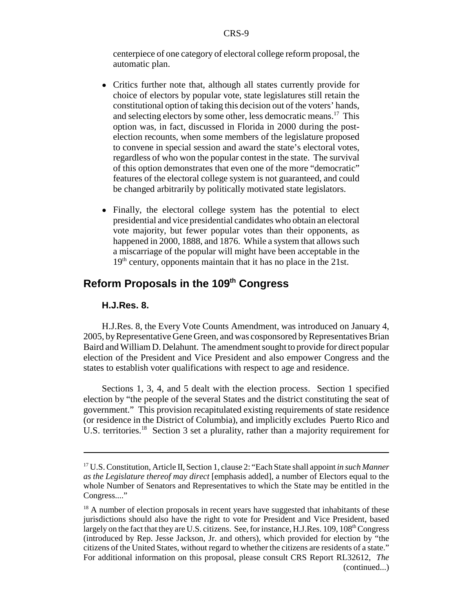centerpiece of one category of electoral college reform proposal, the automatic plan.

- ! Critics further note that, although all states currently provide for choice of electors by popular vote, state legislatures still retain the constitutional option of taking this decision out of the voters' hands, and selecting electors by some other, less democratic means.<sup>17</sup> This option was, in fact, discussed in Florida in 2000 during the postelection recounts, when some members of the legislature proposed to convene in special session and award the state's electoral votes, regardless of who won the popular contest in the state. The survival of this option demonstrates that even one of the more "democratic" features of the electoral college system is not guaranteed, and could be changed arbitrarily by politically motivated state legislators.
- Finally, the electoral college system has the potential to elect presidential and vice presidential candidates who obtain an electoral vote majority, but fewer popular votes than their opponents, as happened in 2000, 1888, and 1876. While a system that allows such a miscarriage of the popular will might have been acceptable in the  $19<sup>th</sup>$  century, opponents maintain that it has no place in the 21st.

# **Reform Proposals in the 109<sup>th</sup> Congress**

#### **H.J.Res. 8.**

H.J.Res. 8, the Every Vote Counts Amendment, was introduced on January 4, 2005, by Representative Gene Green, and was cosponsored by Representatives Brian Baird and William D. Delahunt. The amendment sought to provide for direct popular election of the President and Vice President and also empower Congress and the states to establish voter qualifications with respect to age and residence.

Sections 1, 3, 4, and 5 dealt with the election process. Section 1 specified election by "the people of the several States and the district constituting the seat of government." This provision recapitulated existing requirements of state residence (or residence in the District of Columbia), and implicitly excludes Puerto Rico and U.S. territories.<sup>18</sup> Section 3 set a plurality, rather than a majority requirement for

<sup>17</sup> U.S. Constitution, Article II, Section 1, clause 2: "Each State shall appoint *in such Manner as the Legislature thereof may direct* [emphasis added], a number of Electors equal to the whole Number of Senators and Representatives to which the State may be entitled in the Congress...."

 $18$  A number of election proposals in recent years have suggested that inhabitants of these jurisdictions should also have the right to vote for President and Vice President, based largely on the fact that they are U.S. citizens. See, for instance, H.J.Res. 109, 108th Congress (introduced by Rep. Jesse Jackson, Jr. and others), which provided for election by "the citizens of the United States, without regard to whether the citizens are residents of a state." For additional information on this proposal, please consult CRS Report RL32612, *The* (continued...)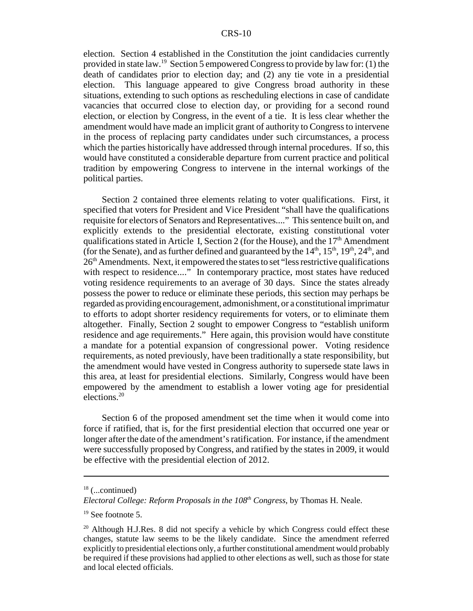election. Section 4 established in the Constitution the joint candidacies currently provided in state law.19 Section 5 empowered Congress to provide by law for: (1) the death of candidates prior to election day; and (2) any tie vote in a presidential election. This language appeared to give Congress broad authority in these situations, extending to such options as rescheduling elections in case of candidate vacancies that occurred close to election day, or providing for a second round election, or election by Congress, in the event of a tie. It is less clear whether the amendment would have made an implicit grant of authority to Congress to intervene in the process of replacing party candidates under such circumstances, a process which the parties historically have addressed through internal procedures. If so, this would have constituted a considerable departure from current practice and political tradition by empowering Congress to intervene in the internal workings of the political parties.

Section 2 contained three elements relating to voter qualifications. First, it specified that voters for President and Vice President "shall have the qualifications requisite for electors of Senators and Representatives...." This sentence built on, and explicitly extends to the presidential electorate, existing constitutional voter qualifications stated in Article I, Section 2 (for the House), and the  $17<sup>th</sup>$  Amendment (for the Senate), and as further defined and guaranteed by the  $14<sup>th</sup>$ ,  $15<sup>th</sup>$ ,  $19<sup>th</sup>$ ,  $24<sup>th</sup>$ , and  $26<sup>th</sup>$  Amendments. Next, it empowered the states to set "less restrictive qualifications" with respect to residence...." In contemporary practice, most states have reduced voting residence requirements to an average of 30 days. Since the states already possess the power to reduce or eliminate these periods, this section may perhaps be regarded as providing encouragement, admonishment, or a constitutional imprimatur to efforts to adopt shorter residency requirements for voters, or to eliminate them altogether. Finally, Section 2 sought to empower Congress to "establish uniform residence and age requirements." Here again, this provision would have constitute a mandate for a potential expansion of congressional power. Voting residence requirements, as noted previously, have been traditionally a state responsibility, but the amendment would have vested in Congress authority to supersede state laws in this area, at least for presidential elections. Similarly, Congress would have been empowered by the amendment to establish a lower voting age for presidential elections.20

Section 6 of the proposed amendment set the time when it would come into force if ratified, that is, for the first presidential election that occurred one year or longer after the date of the amendment's ratification. For instance, if the amendment were successfully proposed by Congress, and ratified by the states in 2009, it would be effective with the presidential election of 2012.

 $18$  (...continued)

*Electoral College: Reform Proposals in the 108th Congress*, by Thomas H. Neale.

 $19$  See footnote 5.

<sup>&</sup>lt;sup>20</sup> Although H.J.Res. 8 did not specify a vehicle by which Congress could effect these changes, statute law seems to be the likely candidate. Since the amendment referred explicitly to presidential elections only, a further constitutional amendment would probably be required if these provisions had applied to other elections as well, such as those for state and local elected officials.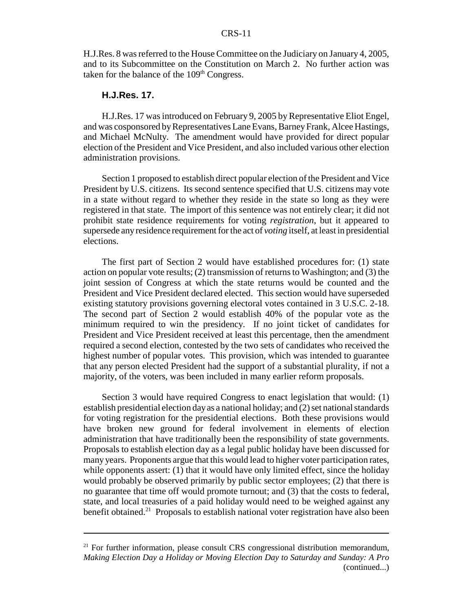H.J.Res. 8 was referred to the House Committee on the Judiciary on January 4, 2005, and to its Subcommittee on the Constitution on March 2. No further action was taken for the balance of the  $109<sup>th</sup>$  Congress.

#### **H.J.Res. 17.**

H.J.Res. 17 was introduced on February 9, 2005 by Representative Eliot Engel, and was cosponsored by Representatives Lane Evans, Barney Frank, Alcee Hastings, and Michael McNulty. The amendment would have provided for direct popular election of the President and Vice President, and also included various other election administration provisions.

Section 1 proposed to establish direct popular election of the President and Vice President by U.S. citizens. Its second sentence specified that U.S. citizens may vote in a state without regard to whether they reside in the state so long as they were registered in that state. The import of this sentence was not entirely clear; it did not prohibit state residence requirements for voting *registration*, but it appeared to supersede any residence requirement for the act of *voting* itself, at least in presidential elections.

The first part of Section 2 would have established procedures for: (1) state action on popular vote results; (2) transmission of returns to Washington; and (3) the joint session of Congress at which the state returns would be counted and the President and Vice President declared elected. This section would have superseded existing statutory provisions governing electoral votes contained in 3 U.S.C. 2-18. The second part of Section 2 would establish 40% of the popular vote as the minimum required to win the presidency. If no joint ticket of candidates for President and Vice President received at least this percentage, then the amendment required a second election, contested by the two sets of candidates who received the highest number of popular votes. This provision, which was intended to guarantee that any person elected President had the support of a substantial plurality, if not a majority, of the voters, was been included in many earlier reform proposals.

Section 3 would have required Congress to enact legislation that would: (1) establish presidential election day as a national holiday; and (2) set national standards for voting registration for the presidential elections. Both these provisions would have broken new ground for federal involvement in elements of election administration that have traditionally been the responsibility of state governments. Proposals to establish election day as a legal public holiday have been discussed for many years. Proponents argue that this would lead to higher voter participation rates, while opponents assert: (1) that it would have only limited effect, since the holiday would probably be observed primarily by public sector employees; (2) that there is no guarantee that time off would promote turnout; and (3) that the costs to federal, state, and local treasuries of a paid holiday would need to be weighed against any benefit obtained.<sup>21</sup> Proposals to establish national voter registration have also been

<sup>&</sup>lt;sup>21</sup> For further information, please consult CRS congressional distribution memorandum, *Making Election Day a Holiday or Moving Election Day to Saturday and Sunday: A Pro* (continued...)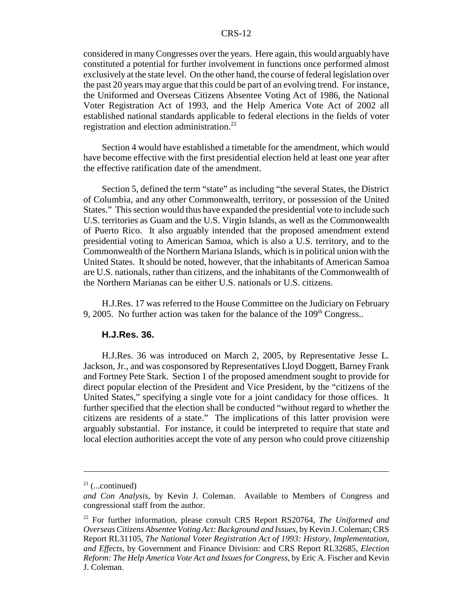considered in many Congresses over the years. Here again, this would arguably have constituted a potential for further involvement in functions once performed almost exclusively at the state level. On the other hand, the course of federal legislation over the past 20 years may argue that this could be part of an evolving trend. For instance, the Uniformed and Overseas Citizens Absentee Voting Act of 1986, the National Voter Registration Act of 1993, and the Help America Vote Act of 2002 all established national standards applicable to federal elections in the fields of voter registration and election administration.<sup>22</sup>

Section 4 would have established a timetable for the amendment, which would have become effective with the first presidential election held at least one year after the effective ratification date of the amendment.

Section 5, defined the term "state" as including "the several States, the District of Columbia, and any other Commonwealth, territory, or possession of the United States." This section would thus have expanded the presidential vote to include such U.S. territories as Guam and the U.S. Virgin Islands, as well as the Commonwealth of Puerto Rico. It also arguably intended that the proposed amendment extend presidential voting to American Samoa, which is also a U.S. territory, and to the Commonwealth of the Northern Mariana Islands, which is in political union with the United States. It should be noted, however, that the inhabitants of American Samoa are U.S. nationals, rather than citizens, and the inhabitants of the Commonwealth of the Northern Marianas can be either U.S. nationals or U.S. citizens.

H.J.Res. 17 was referred to the House Committee on the Judiciary on February 9, 2005. No further action was taken for the balance of the  $109<sup>th</sup>$  Congress..

#### **H.J.Res. 36.**

H.J.Res. 36 was introduced on March 2, 2005, by Representative Jesse L. Jackson, Jr., and was cosponsored by Representatives Lloyd Doggett, Barney Frank and Fortney Pete Stark. Section 1 of the proposed amendment sought to provide for direct popular election of the President and Vice President, by the "citizens of the United States," specifying a single vote for a joint candidacy for those offices. It further specified that the election shall be conducted "without regard to whether the citizens are residents of a state." The implications of this latter provision were arguably substantial. For instance, it could be interpreted to require that state and local election authorities accept the vote of any person who could prove citizenship

 $21$  (...continued)

*and Con Analysis*, by Kevin J. Coleman. Available to Members of Congress and congressional staff from the author.

<sup>22</sup> For further information, please consult CRS Report RS20764, *The Uniformed and Overseas Citizens Absentee Voting Act: Background and Issues*, by Kevin J. Coleman; CRS Report RL31105, *The National Voter Registration Act of 1993: History, Implementation, and Effects*, by Government and Finance Division: and CRS Report RL32685, *Election Reform: The Help America Vote Act and Issues for Congress*, by Eric A. Fischer and Kevin J. Coleman.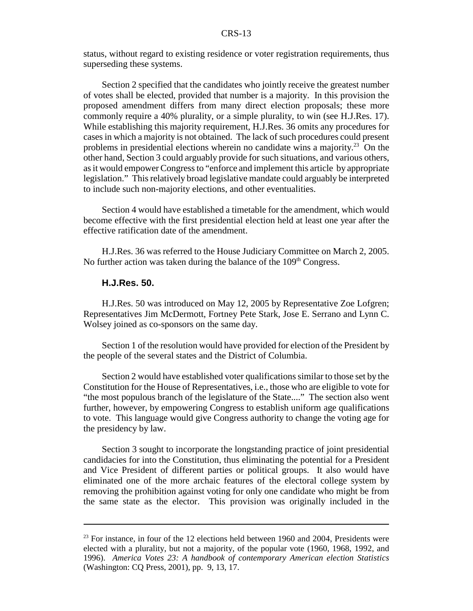status, without regard to existing residence or voter registration requirements, thus superseding these systems.

Section 2 specified that the candidates who jointly receive the greatest number of votes shall be elected, provided that number is a majority. In this provision the proposed amendment differs from many direct election proposals; these more commonly require a 40% plurality, or a simple plurality, to win (see H.J.Res. 17). While establishing this majority requirement, H.J.Res. 36 omits any procedures for cases in which a majority is not obtained. The lack of such procedures could present problems in presidential elections wherein no candidate wins a majority.<sup>23</sup> On the other hand, Section 3 could arguably provide for such situations, and various others, as it would empower Congress to "enforce and implement this article by appropriate legislation." This relatively broad legislative mandate could arguably be interpreted to include such non-majority elections, and other eventualities.

Section 4 would have established a timetable for the amendment, which would become effective with the first presidential election held at least one year after the effective ratification date of the amendment.

H.J.Res. 36 was referred to the House Judiciary Committee on March 2, 2005. No further action was taken during the balance of the  $109<sup>th</sup> Congress.$ 

#### **H.J.Res. 50.**

H.J.Res. 50 was introduced on May 12, 2005 by Representative Zoe Lofgren; Representatives Jim McDermott, Fortney Pete Stark, Jose E. Serrano and Lynn C. Wolsey joined as co-sponsors on the same day.

Section 1 of the resolution would have provided for election of the President by the people of the several states and the District of Columbia.

Section 2 would have established voter qualifications similar to those set by the Constitution for the House of Representatives, i.e., those who are eligible to vote for "the most populous branch of the legislature of the State...." The section also went further, however, by empowering Congress to establish uniform age qualifications to vote. This language would give Congress authority to change the voting age for the presidency by law.

Section 3 sought to incorporate the longstanding practice of joint presidential candidacies for into the Constitution, thus eliminating the potential for a President and Vice President of different parties or political groups. It also would have eliminated one of the more archaic features of the electoral college system by removing the prohibition against voting for only one candidate who might be from the same state as the elector. This provision was originally included in the

 $23$  For instance, in four of the 12 elections held between 1960 and 2004, Presidents were elected with a plurality, but not a majority, of the popular vote (1960, 1968, 1992, and 1996). *America Votes 23: A handbook of contemporary American election Statistics* (Washington: CQ Press, 2001), pp. 9, 13, 17.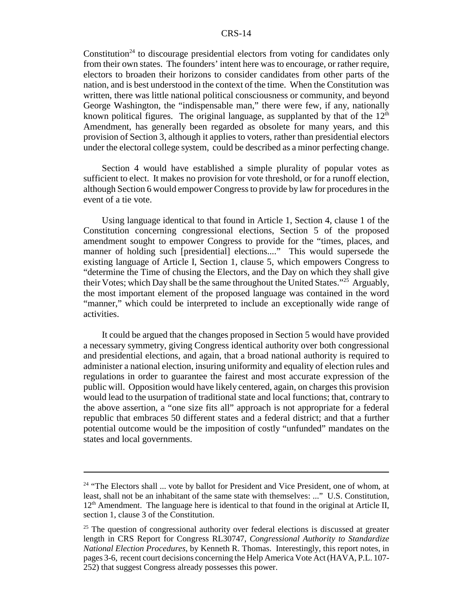Constitution<sup>24</sup> to discourage presidential electors from voting for candidates only from their own states. The founders' intent here was to encourage, or rather require, electors to broaden their horizons to consider candidates from other parts of the nation, and is best understood in the context of the time. When the Constitution was written, there was little national political consciousness or community, and beyond George Washington, the "indispensable man," there were few, if any, nationally known political figures. The original language, as supplanted by that of the  $12<sup>th</sup>$ Amendment, has generally been regarded as obsolete for many years, and this provision of Section 3, although it applies to voters, rather than presidential electors under the electoral college system, could be described as a minor perfecting change.

Section 4 would have established a simple plurality of popular votes as sufficient to elect. It makes no provision for vote threshold, or for a runoff election, although Section 6 would empower Congress to provide by law for procedures in the event of a tie vote.

Using language identical to that found in Article 1, Section 4, clause 1 of the Constitution concerning congressional elections, Section 5 of the proposed amendment sought to empower Congress to provide for the "times, places, and manner of holding such [presidential] elections...." This would supersede the existing language of Article I, Section 1, clause 5, which empowers Congress to "determine the Time of chusing the Electors, and the Day on which they shall give their Votes; which Day shall be the same throughout the United States.<sup> $25$ </sup> Arguably, the most important element of the proposed language was contained in the word "manner," which could be interpreted to include an exceptionally wide range of activities.

It could be argued that the changes proposed in Section 5 would have provided a necessary symmetry, giving Congress identical authority over both congressional and presidential elections, and again, that a broad national authority is required to administer a national election, insuring uniformity and equality of election rules and regulations in order to guarantee the fairest and most accurate expression of the public will. Opposition would have likely centered, again, on charges this provision would lead to the usurpation of traditional state and local functions; that, contrary to the above assertion, a "one size fits all" approach is not appropriate for a federal republic that embraces 50 different states and a federal district; and that a further potential outcome would be the imposition of costly "unfunded" mandates on the states and local governments.

 $24$  "The Electors shall  $\ldots$  vote by ballot for President and Vice President, one of whom, at least, shall not be an inhabitant of the same state with themselves: ..." U.S. Constitution,  $12<sup>th</sup>$  Amendment. The language here is identical to that found in the original at Article II, section 1, clause 3 of the Constitution.

<sup>&</sup>lt;sup>25</sup> The question of congressional authority over federal elections is discussed at greater length in CRS Report for Congress RL30747, *Congressional Authority to Standardize National Election Procedures*, by Kenneth R. Thomas. Interestingly, this report notes, in pages 3-6, recent court decisions concerning the Help America Vote Act (HAVA, P.L. 107- 252) that suggest Congress already possesses this power.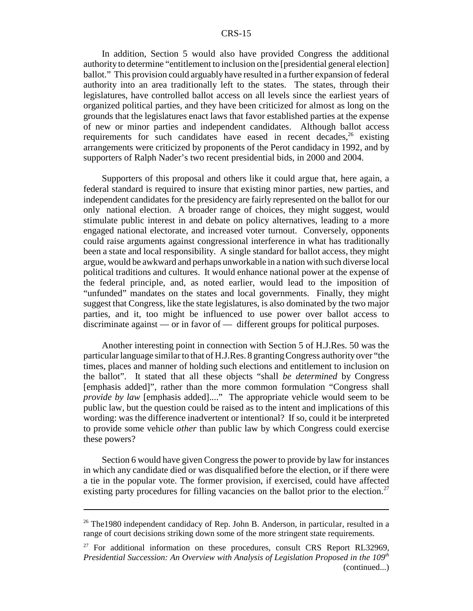In addition, Section 5 would also have provided Congress the additional authority to determine "entitlement to inclusion on the [presidential general election] ballot." This provision could arguably have resulted in a further expansion of federal authority into an area traditionally left to the states. The states, through their legislatures, have controlled ballot access on all levels since the earliest years of organized political parties, and they have been criticized for almost as long on the grounds that the legislatures enact laws that favor established parties at the expense of new or minor parties and independent candidates. Although ballot access requirements for such candidates have eased in recent decades, $26$  existing arrangements were criticized by proponents of the Perot candidacy in 1992, and by supporters of Ralph Nader's two recent presidential bids, in 2000 and 2004.

Supporters of this proposal and others like it could argue that, here again, a federal standard is required to insure that existing minor parties, new parties, and independent candidates for the presidency are fairly represented on the ballot for our only national election. A broader range of choices, they might suggest, would stimulate public interest in and debate on policy alternatives, leading to a more engaged national electorate, and increased voter turnout. Conversely, opponents could raise arguments against congressional interference in what has traditionally been a state and local responsibility. A single standard for ballot access, they might argue, would be awkward and perhaps unworkable in a nation with such diverse local political traditions and cultures. It would enhance national power at the expense of the federal principle, and, as noted earlier, would lead to the imposition of "unfunded" mandates on the states and local governments. Finally, they might suggest that Congress, like the state legislatures, is also dominated by the two major parties, and it, too might be influenced to use power over ballot access to discriminate against — or in favor of — different groups for political purposes.

Another interesting point in connection with Section 5 of H.J.Res. 50 was the particular language similar to that of H.J.Res. 8 granting Congress authority over "the times, places and manner of holding such elections and entitlement to inclusion on the ballot". It stated that all these objects "shall *be determined* by Congress [emphasis added]", rather than the more common formulation "Congress shall *provide by law* [emphasis added]...." The appropriate vehicle would seem to be public law, but the question could be raised as to the intent and implications of this wording: was the difference inadvertent or intentional? If so, could it be interpreted to provide some vehicle *other* than public law by which Congress could exercise these powers?

Section 6 would have given Congress the power to provide by law for instances in which any candidate died or was disqualified before the election, or if there were a tie in the popular vote. The former provision, if exercised, could have affected existing party procedures for filling vacancies on the ballot prior to the election.<sup>27</sup>

<sup>&</sup>lt;sup>26</sup> The 1980 independent candidacy of Rep. John B. Anderson, in particular, resulted in a range of court decisions striking down some of the more stringent state requirements.

 $27$  For additional information on these procedures, consult CRS Report RL32969, *Presidential Succession: An Overview with Analysis of Legislation Proposed in the 109<sup>th</sup>* (continued...)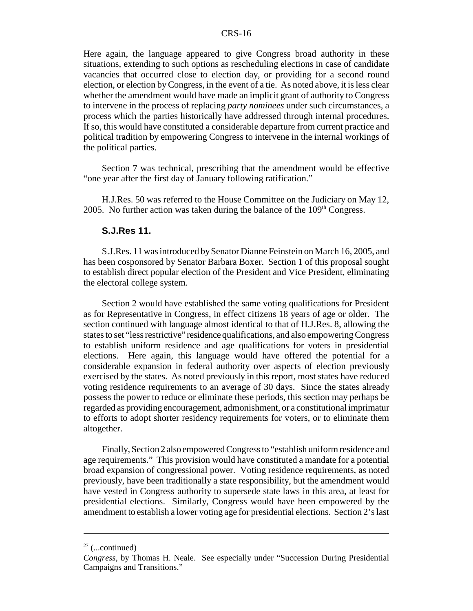Here again, the language appeared to give Congress broad authority in these situations, extending to such options as rescheduling elections in case of candidate vacancies that occurred close to election day, or providing for a second round election, or election by Congress, in the event of a tie. As noted above, it is less clear whether the amendment would have made an implicit grant of authority to Congress to intervene in the process of replacing *party nominees* under such circumstances, a process which the parties historically have addressed through internal procedures. If so, this would have constituted a considerable departure from current practice and political tradition by empowering Congress to intervene in the internal workings of the political parties.

Section 7 was technical, prescribing that the amendment would be effective "one year after the first day of January following ratification."

H.J.Res. 50 was referred to the House Committee on the Judiciary on May 12, 2005. No further action was taken during the balance of the  $109<sup>th</sup>$  Congress.

#### **S.J.Res 11.**

S.J.Res. 11 was introduced by Senator Dianne Feinstein on March 16, 2005, and has been cosponsored by Senator Barbara Boxer. Section 1 of this proposal sought to establish direct popular election of the President and Vice President, eliminating the electoral college system.

Section 2 would have established the same voting qualifications for President as for Representative in Congress, in effect citizens 18 years of age or older. The section continued with language almost identical to that of H.J.Res. 8, allowing the states to set "less restrictive" residence qualifications, and also empowering Congress to establish uniform residence and age qualifications for voters in presidential elections. Here again, this language would have offered the potential for a considerable expansion in federal authority over aspects of election previously exercised by the states. As noted previously in this report, most states have reduced voting residence requirements to an average of 30 days. Since the states already possess the power to reduce or eliminate these periods, this section may perhaps be regarded as providing encouragement, admonishment, or a constitutional imprimatur to efforts to adopt shorter residency requirements for voters, or to eliminate them altogether.

Finally, Section 2 also empowered Congress to "establish uniform residence and age requirements." This provision would have constituted a mandate for a potential broad expansion of congressional power. Voting residence requirements, as noted previously, have been traditionally a state responsibility, but the amendment would have vested in Congress authority to supersede state laws in this area, at least for presidential elections. Similarly, Congress would have been empowered by the amendment to establish a lower voting age for presidential elections. Section 2's last

 $27$  (...continued)

*Congress*, by Thomas H. Neale. See especially under "Succession During Presidential Campaigns and Transitions."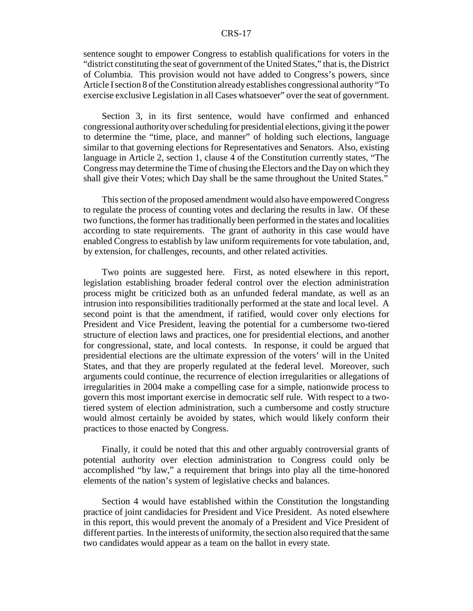sentence sought to empower Congress to establish qualifications for voters in the "district constituting the seat of government of the United States," that is, the District of Columbia. This provision would not have added to Congress's powers, since Article I section 8 of the Constitution already establishes congressional authority "To exercise exclusive Legislation in all Cases whatsoever" over the seat of government.

Section 3, in its first sentence, would have confirmed and enhanced congressional authority over scheduling for presidential elections, giving it the power to determine the "time, place, and manner" of holding such elections, language similar to that governing elections for Representatives and Senators. Also, existing language in Article 2, section 1, clause 4 of the Constitution currently states, "The Congress may determine the Time of chusing the Electors and the Day on which they shall give their Votes; which Day shall be the same throughout the United States."

This section of the proposed amendment would also have empowered Congress to regulate the process of counting votes and declaring the results in law. Of these two functions, the former has traditionally been performed in the states and localities according to state requirements. The grant of authority in this case would have enabled Congress to establish by law uniform requirements for vote tabulation, and, by extension, for challenges, recounts, and other related activities.

Two points are suggested here. First, as noted elsewhere in this report, legislation establishing broader federal control over the election administration process might be criticized both as an unfunded federal mandate, as well as an intrusion into responsibilities traditionally performed at the state and local level. A second point is that the amendment, if ratified, would cover only elections for President and Vice President, leaving the potential for a cumbersome two-tiered structure of election laws and practices, one for presidential elections, and another for congressional, state, and local contests. In response, it could be argued that presidential elections are the ultimate expression of the voters' will in the United States, and that they are properly regulated at the federal level. Moreover, such arguments could continue, the recurrence of election irregularities or allegations of irregularities in 2004 make a compelling case for a simple, nationwide process to govern this most important exercise in democratic self rule. With respect to a twotiered system of election administration, such a cumbersome and costly structure would almost certainly be avoided by states, which would likely conform their practices to those enacted by Congress.

Finally, it could be noted that this and other arguably controversial grants of potential authority over election administration to Congress could only be accomplished "by law," a requirement that brings into play all the time-honored elements of the nation's system of legislative checks and balances.

Section 4 would have established within the Constitution the longstanding practice of joint candidacies for President and Vice President. As noted elsewhere in this report, this would prevent the anomaly of a President and Vice President of different parties. In the interests of uniformity, the section also required that the same two candidates would appear as a team on the ballot in every state.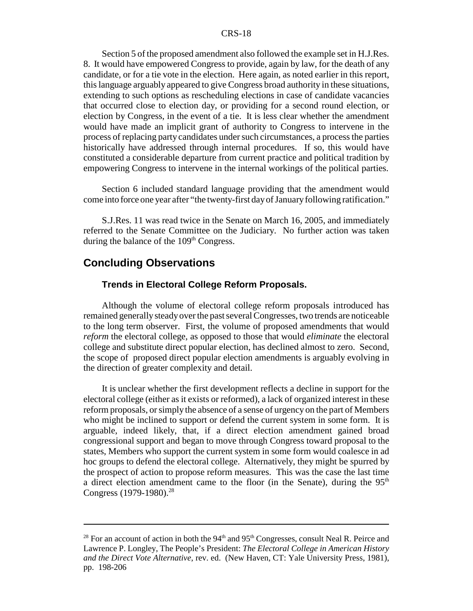Section 5 of the proposed amendment also followed the example set in H.J.Res. 8. It would have empowered Congress to provide, again by law, for the death of any candidate, or for a tie vote in the election. Here again, as noted earlier in this report, this language arguably appeared to give Congress broad authority in these situations, extending to such options as rescheduling elections in case of candidate vacancies that occurred close to election day, or providing for a second round election, or election by Congress, in the event of a tie. It is less clear whether the amendment would have made an implicit grant of authority to Congress to intervene in the process of replacing party candidates under such circumstances, a process the parties historically have addressed through internal procedures. If so, this would have constituted a considerable departure from current practice and political tradition by empowering Congress to intervene in the internal workings of the political parties.

Section 6 included standard language providing that the amendment would come into force one year after "the twenty-first day of January following ratification."

S.J.Res. 11 was read twice in the Senate on March 16, 2005, and immediately referred to the Senate Committee on the Judiciary. No further action was taken during the balance of the  $109<sup>th</sup>$  Congress.

#### **Concluding Observations**

#### **Trends in Electoral College Reform Proposals.**

Although the volume of electoral college reform proposals introduced has remained generally steady over the past several Congresses, two trends are noticeable to the long term observer. First, the volume of proposed amendments that would *reform* the electoral college, as opposed to those that would *eliminate* the electoral college and substitute direct popular election, has declined almost to zero. Second, the scope of proposed direct popular election amendments is arguably evolving in the direction of greater complexity and detail.

It is unclear whether the first development reflects a decline in support for the electoral college (either as it exists or reformed), a lack of organized interest in these reform proposals, or simply the absence of a sense of urgency on the part of Members who might be inclined to support or defend the current system in some form. It is arguable, indeed likely, that, if a direct election amendment gained broad congressional support and began to move through Congress toward proposal to the states, Members who support the current system in some form would coalesce in ad hoc groups to defend the electoral college. Alternatively, they might be spurred by the prospect of action to propose reform measures. This was the case the last time a direct election amendment came to the floor (in the Senate), during the  $95<sup>th</sup>$ Congress (1979-1980).<sup>28</sup>

<sup>&</sup>lt;sup>28</sup> For an account of action in both the  $94<sup>th</sup>$  and  $95<sup>th</sup>$  Congresses, consult Neal R. Peirce and Lawrence P. Longley, The People's President: *The Electoral College in American History and the Direct Vote Alternative*, rev. ed. (New Haven, CT: Yale University Press, 1981), pp. 198-206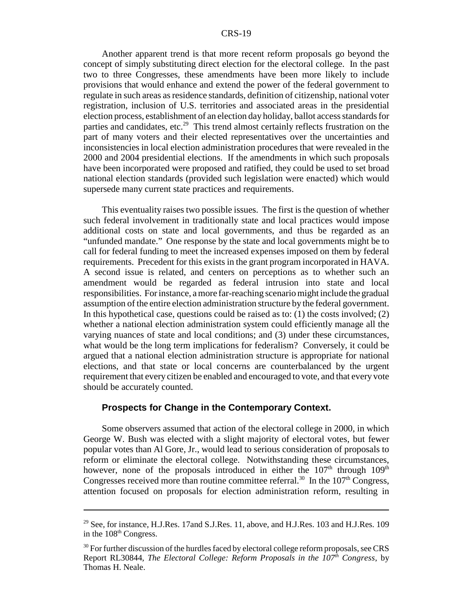Another apparent trend is that more recent reform proposals go beyond the concept of simply substituting direct election for the electoral college. In the past two to three Congresses, these amendments have been more likely to include provisions that would enhance and extend the power of the federal government to regulate in such areas as residence standards, definition of citizenship, national voter registration, inclusion of U.S. territories and associated areas in the presidential election process, establishment of an election day holiday, ballot access standards for parties and candidates, etc.<sup>29</sup> This trend almost certainly reflects frustration on the part of many voters and their elected representatives over the uncertainties and inconsistencies in local election administration procedures that were revealed in the 2000 and 2004 presidential elections. If the amendments in which such proposals have been incorporated were proposed and ratified, they could be used to set broad national election standards (provided such legislation were enacted) which would supersede many current state practices and requirements.

This eventuality raises two possible issues. The first is the question of whether such federal involvement in traditionally state and local practices would impose additional costs on state and local governments, and thus be regarded as an "unfunded mandate." One response by the state and local governments might be to call for federal funding to meet the increased expenses imposed on them by federal requirements. Precedent for this exists in the grant program incorporated in HAVA. A second issue is related, and centers on perceptions as to whether such an amendment would be regarded as federal intrusion into state and local responsibilities. For instance, a more far-reaching scenario might include the gradual assumption of the entire election administration structure by the federal government. In this hypothetical case, questions could be raised as to:  $(1)$  the costs involved;  $(2)$ whether a national election administration system could efficiently manage all the varying nuances of state and local conditions; and (3) under these circumstances, what would be the long term implications for federalism? Conversely, it could be argued that a national election administration structure is appropriate for national elections, and that state or local concerns are counterbalanced by the urgent requirement that every citizen be enabled and encouraged to vote, and that every vote should be accurately counted.

#### **Prospects for Change in the Contemporary Context.**

Some observers assumed that action of the electoral college in 2000, in which George W. Bush was elected with a slight majority of electoral votes, but fewer popular votes than Al Gore, Jr., would lead to serious consideration of proposals to reform or eliminate the electoral college. Notwithstanding these circumstances, however, none of the proposals introduced in either the  $107<sup>th</sup>$  through  $109<sup>th</sup>$ Congresses received more than routine committee referral.<sup>30</sup> In the  $107<sup>th</sup>$  Congress, attention focused on proposals for election administration reform, resulting in

<sup>&</sup>lt;sup>29</sup> See, for instance, H.J.Res. 17and S.J.Res. 11, above, and H.J.Res. 103 and H.J.Res. 109 in the 108<sup>th</sup> Congress.

 $30$  For further discussion of the hurdles faced by electoral college reform proposals, see CRS Report RL30844, *The Electoral College: Reform Proposals in the 107th Congress*, by Thomas H. Neale.